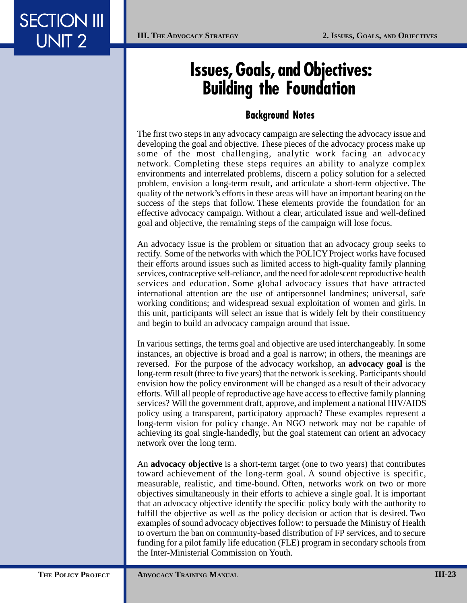## **Issues, Goals, and Objectives: Building the Foundation␣**

## **Background Notes␣**

The first two steps in any advocacy campaign are selecting the advocacy issue and developing the goal and objective. These pieces of the advocacy process make up some of the most challenging, analytic work facing an advocacy network. Completing these steps requires an ability to analyze complex environments and interrelated problems, discern a policy solution for a selected problem, envision a long-term result, and articulate a short-term objective. The quality of the network's efforts in these areas will have an important bearing on the success of the steps that follow. These elements provide the foundation for an effective advocacy campaign. Without a clear, articulated issue and well-defined goal and objective, the remaining steps of the campaign will lose focus.

An advocacy issue is the problem or situation that an advocacy group seeks to rectify. Some of the networks with which the POLICY Project works have focused their efforts around issues such as limited access to high-quality family planning services, contraceptive self-reliance, and the need for adolescent reproductive health services and education. Some global advocacy issues that have attracted international attention are the use of antipersonnel landmines; universal, safe working conditions; and widespread sexual exploitation of women and girls. In this unit, participants will select an issue that is widely felt by their constituency and begin to build an advocacy campaign around that issue.

In various settings, the terms goal and objective are used interchangeably. In some instances, an objective is broad and a goal is narrow; in others, the meanings are reversed. For the purpose of the advocacy workshop, an **advocacy goal** is the long-term result (three to five years) that the network is seeking. Participants should envision how the policy environment will be changed as a result of their advocacy efforts. Will all people of reproductive age have access to effective family planning services? Will the government draft, approve, and implement a national HIV/AIDS policy using a transparent, participatory approach? These examples represent a long-term vision for policy change. An NGO network may not be capable of achieving its goal single-handedly, but the goal statement can orient an advocacy network over the long term.

An **advocacy objective** is a short-term target (one to two years) that contributes toward achievement of the long-term goal. A sound objective is specific, measurable, realistic, and time-bound. Often, networks work on two or more objectives simultaneously in their efforts to achieve a single goal. It is important that an advocacy objective identify the specific policy body with the authority to fulfill the objective as well as the policy decision or action that is desired. Two examples of sound advocacy objectives follow: to persuade the Ministry of Health to overturn the ban on community-based distribution of FP services, and to secure funding for a pilot family life education (FLE) program in secondary schools from the Inter-Ministerial Commission on Youth.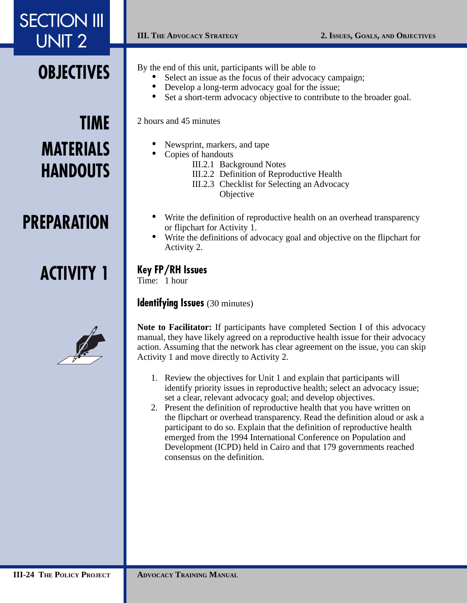## **OBJECTIVES**

# **TIME MATERIALS HANDOUTS**

## **PREPARATION**

# **ACTIVITY 1**



By the end of this unit, participants will be able to

- Select an issue as the focus of their advocacy campaign;
- Develop a long-term advocacy goal for the issue;
- Set a short-term advocacy objective to contribute to the broader goal.

#### 2 hours and 45 minutes

- Newsprint, markers, and tape
- Copies of handouts
	- III.2.1 Background Notes
	- III.2.2 Definition of Reproductive Health
	- III.2.3 Checklist for Selecting an Advocacy **Objective**
- Write the definition of reproductive health on an overhead transparency or flipchart for Activity 1.
- Write the definitions of advocacy goal and objective on the flipchart for Activity 2.

## **Key FP/RH Issues**

Time: 1 hour

#### **Identifying Issues** (30 minutes)

**Note to Facilitator:** If participants have completed Section I of this advocacy manual, they have likely agreed on a reproductive health issue for their advocacy action. Assuming that the network has clear agreement on the issue, you can skip Activity 1 and move directly to Activity 2.

- 1. Review the objectives for Unit 1 and explain that participants will identify priority issues in reproductive health; select an advocacy issue; set a clear, relevant advocacy goal; and develop objectives.
- 2. Present the definition of reproductive health that you have written on the flipchart or overhead transparency. Read the definition aloud or ask a participant to do so. Explain that the definition of reproductive health emerged from the 1994 International Conference on Population and Development (ICPD) held in Cairo and that 179 governments reached consensus on the definition.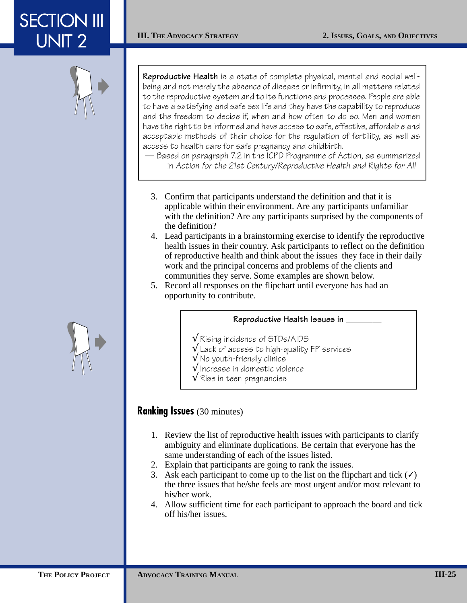

**Reproductive Health** is a state of complete physical, mental and social wellbeing and not merely the absence of disease or infirmity, in all matters related to the reproductive system and to its functions and processes. People are able to have a satisfying and safe sex life and they have the capability to reproduce and the freedom to decide if, when and how often to do so. Men and women have the right to be informed and have access to safe, effective, affordable and acceptable methods of their choice for the regulation of fertility, as well as access to health care for safe pregnancy and childbirth.

— Based on paragraph 7.2 in the ICPD Programme of Action, as summarized in Action for the 21st Century/Reproductive Health and Rights for All

- 3. Confirm that participants understand the definition and that it is applicable within their environment. Are any participants unfamiliar with the definition? Are any participants surprised by the components of the definition?
- 4. Lead participants in a brainstorming exercise to identify the reproductive health issues in their country. Ask participants to reflect on the definition of reproductive health and think about the issues they face in their daily work and the principal concerns and problems of the clients and communities they serve. Some examples are shown below.
- 5. Record all responses on the flipchart until everyone has had an opportunity to contribute.

#### **Reproductive Health Issues in \_\_\_\_\_\_\_\_␣**

- √␣ Rising incidence of STDs/AIDS
- Lack of access to high-quality FP services
- √␣ No youth-friendly clinics
- √␣ Increase in domestic violence
- √ Rise in teen pregnancies␣␣␣␣␣␣

## **Ranking Issues** (30 minutes)

- 1. Review the list of reproductive health issues with participants to clarify ambiguity and eliminate duplications. Be certain that everyone has the same understanding of each of the issues listed.
- 2. Explain that participants are going to rank the issues.
- 3. Ask each participant to come up to the list on the flipchart and tick  $(\checkmark)$ the three issues that he/she feels are most urgent and/or most relevant to his/her work.
- 4. Allow sufficient time for each participant to approach the board and tick off his/her issues.

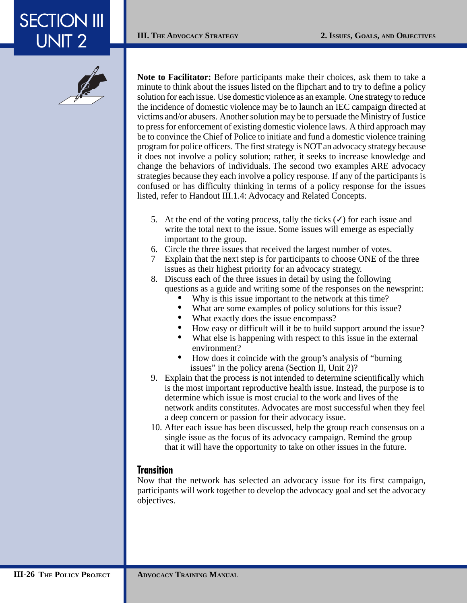

**Note to Facilitator:** Before participants make their choices, ask them to take a minute to think about the issues listed on the flipchart and to try to define a policy solution for each issue. Use domestic violence as an example. One strategy to reduce the incidence of domestic violence may be to launch an IEC campaign directed at victims and/or abusers. Another solution may be to persuade the Ministry of Justice to press for enforcement of existing domestic violence laws. A third approach may be to convince the Chief of Police to initiate and fund a domestic violence training program for police officers. The first strategy is NOT an advocacy strategy because it does not involve a policy solution; rather, it seeks to increase knowledge and change the behaviors of individuals. The second two examples ARE advocacy strategies because they each involve a policy response. If any of the participants is confused or has difficulty thinking in terms of a policy response for the issues listed, refer to Handout III.1.4: Advocacy and Related Concepts.

- 5. At the end of the voting process, tally the ticks  $(\checkmark)$  for each issue and write the total next to the issue. Some issues will emerge as especially important to the group.
- 6. Circle the three issues that received the largest number of votes.
- 7 Explain that the next step is for participants to choose ONE of the three issues as their highest priority for an advocacy strategy.
- 8. Discuss each of the three issues in detail by using the following questions as a guide and writing some of the responses on the newsprint:
	- Why is this issue important to the network at this time?
	- What are some examples of policy solutions for this issue?
	- What exactly does the issue encompass?
	- How easy or difficult will it be to build support around the issue?
	- What else is happening with respect to this issue in the external environment?
	- How does it coincide with the group's analysis of "burning" issues" in the policy arena (Section II, Unit 2)?
- 9. Explain that the process is not intended to determine scientifically which is the most important reproductive health issue. Instead, the purpose is to determine which issue is most crucial to the work and lives of the network andits constitutes. Advocates are most successful when they feel a deep concern or passion for their advocacy issue.
- 10. After each issue has been discussed, help the group reach consensus on a single issue as the focus of its advocacy campaign. Remind the group that it will have the opportunity to take on other issues in the future.

#### **Transition␣**

Now that the network has selected an advocacy issue for its first campaign, participants will work together to develop the advocacy goal and set the advocacy objectives.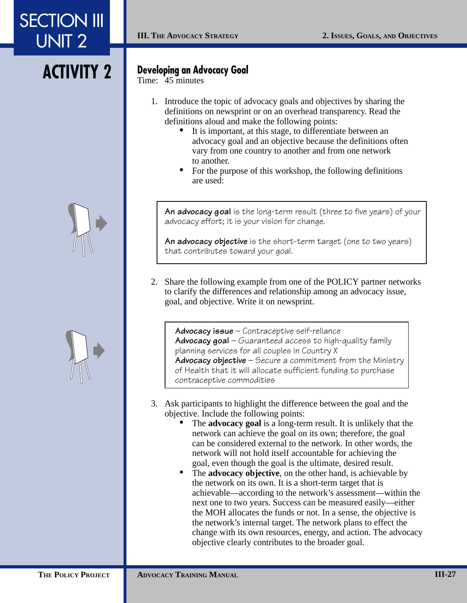# **ACTIVITY 2**

### **Developing an Advocacy Goal**

Time: 45 minutes

- 1. Introduce the topic of advocacy goals and objectives by sharing the definitions on newsprint or on an overhead transparency. Read the definitions aloud and make the following points:
	- It is important, at this stage, to differentiate between an advocacy goal and an objective because the definitions often vary from one country to another and from one network to another.
	- For the purpose of this workshop, the following definitions are used:

**An advocacy goal** is the long-term result (three to five years) of your advocacy effort; it is your vision for change.

**An advocacy objective** is the short-term target (one to two years) that contributes toward your goal.

2. Share the following example from one of the POLICY partner networks to clarify the differences and relationship among an advocacy issue, goal, and objective. Write it on newsprint.

**Advocacy issue** – Contraceptive self-reliance **Advocacy goal** – Guaranteed access to high-quality family planning services for all couples in Country X **Advocacy objective** – Secure a commitment from the Ministry of Health that it will allocate sufficient funding to purchase contraceptive commodities␣␣␣␣␣ ␣␣␣␣

- 3. Ask participants to highlight the difference between the goal and the objective. Include the following points:
	- The **advocacy goal** is a long-term result. It is unlikely that the network can achieve the goal on its own; therefore, the goal can be considered external to the network. In other words, the network will not hold itself accountable for achieving the goal, even though the goal is the ultimate, desired result.
	- The **advocacy objective**, on the other hand, is achievable by the network on its own. It is a short-term target that is achievable—according to the network's assessment—within the next one to two years. Success can be measured easily—either the MOH allocates the funds or not. In a sense, the objective is the network's internal target. The network plans to effect the change with its own resources, energy, and action. The advocacy objective clearly contributes to the broader goal.



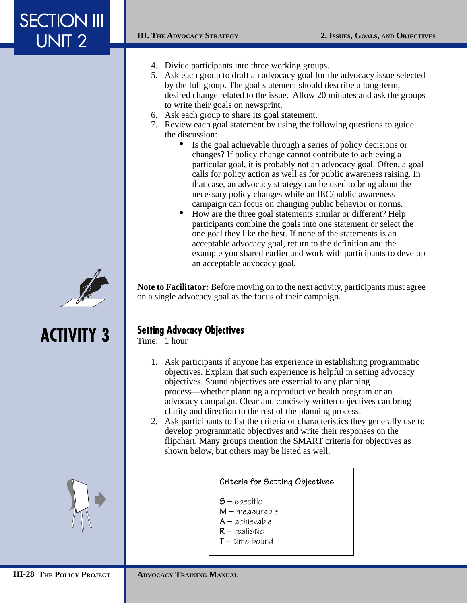- 4. Divide participants into three working groups.
- 5. Ask each group to draft an advocacy goal for the advocacy issue selected by the full group. The goal statement should describe a long-term, desired change related to the issue. Allow 20 minutes and ask the groups to write their goals on newsprint.
- 6. Ask each group to share its goal statement.
- 7. Review each goal statement by using the following questions to guide the discussion:
	- Is the goal achievable through a series of policy decisions or changes? If policy change cannot contribute to achieving a particular goal, it is probably not an advocacy goal. Often, a goal calls for policy action as well as for public awareness raising. In that case, an advocacy strategy can be used to bring about the necessary policy changes while an IEC/public awareness campaign can focus on changing public behavior or norms.
	- How are the three goal statements similar or different? Help participants combine the goals into one statement or select the one goal they like the best. If none of the statements is an acceptable advocacy goal, return to the definition and the example you shared earlier and work with participants to develop an acceptable advocacy goal.

# **ACTIVITY 3**



## **Setting Advocacy Objectives**

Time: 1 hour

1. Ask participants if anyone has experience in establishing programmatic objectives. Explain that such experience is helpful in setting advocacy objectives. Sound objectives are essential to any planning process—whether planning a reproductive health program or an advocacy campaign. Clear and concisely written objectives can bring clarity and direction to the rest of the planning process.

**Note to Facilitator:** Before moving on to the next activity, participants must agree

2. Ask participants to list the criteria or characteristics they generally use to develop programmatic objectives and write their responses on the flipchart. Many groups mention the SMART criteria for objectives as shown below, but others may be listed as well.

#### **Criteria for Setting Objectives␣**

**S** – specific

on a single advocacy goal as the focus of their campaign.

- **M** measurable
- **A** achievable **R** – realistic
- $T$  time-bound
-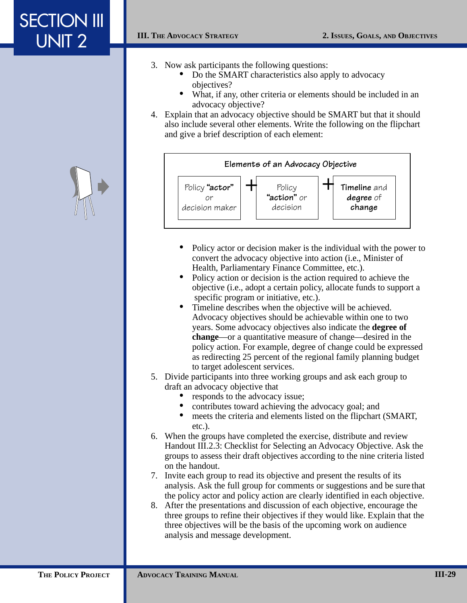- 3. Now ask participants the following questions:
	- Do the SMART characteristics also apply to advocacy objectives?
	- What, if any, other criteria or elements should be included in an advocacy objective?
- 4. Explain that an advocacy objective should be SMART but that it should also include several other elements. Write the following on the flipchart and give a brief description of each element:



- Policy actor or decision maker is the individual with the power to convert the advocacy objective into action (i.e., Minister of Health, Parliamentary Finance Committee, etc.).
- Policy action or decision is the action required to achieve the objective (i.e., adopt a certain policy, allocate funds to support a specific program or initiative, etc.).
- Timeline describes when the objective will be achieved. Advocacy objectives should be achievable within one to two years. Some advocacy objectives also indicate the **degree of change**—or a quantitative measure of change—desired in the policy action. For example, degree of change could be expressed as redirecting 25 percent of the regional family planning budget to target adolescent services.
- 5. Divide participants into three working groups and ask each group to draft an advocacy objective that
	- responds to the advocacy issue;
	- contributes toward achieving the advocacy goal; and
	- meets the criteria and elements listed on the flipchart (SMART, etc.).
- 6. When the groups have completed the exercise, distribute and review Handout III.2.3: Checklist for Selecting an Advocacy Objective. Ask the groups to assess their draft objectives according to the nine criteria listed on the handout.
- 7. Invite each group to read its objective and present the results of its analysis. Ask the full group for comments or suggestions and be sure that the policy actor and policy action are clearly identified in each objective.
- 8. After the presentations and discussion of each objective, encourage the three groups to refine their objectives if they would like. Explain that the three objectives will be the basis of the upcoming work on audience analysis and message development.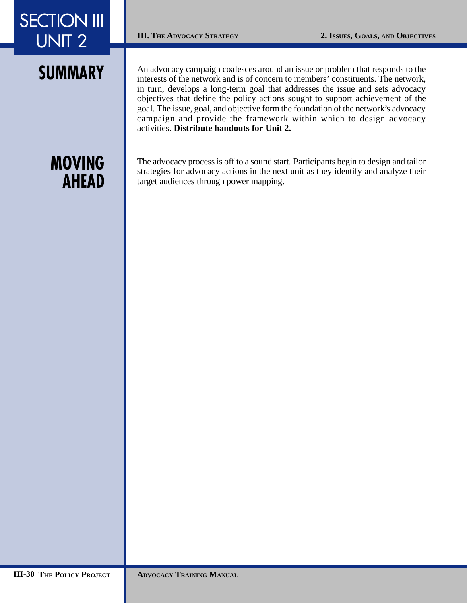An advocacy campaign coalesces around an issue or problem that responds to the interests of the network and is of concern to members' constituents. The network, in turn, develops a long-term goal that addresses the issue and sets advocacy objectives that define the policy actions sought to support achievement of the goal. The issue, goal, and objective form the foundation of the network's advocacy campaign and provide the framework within which to design advocacy activities. **Distribute handouts for Unit 2.**

## **MOVING AHEAD**

The advocacy process is off to a sound start. Participants begin to design and tailor strategies for advocacy actions in the next unit as they identify and analyze their target audiences through power mapping.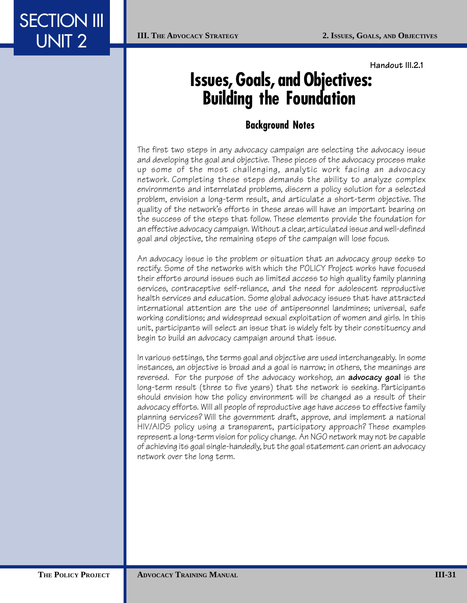**Handout III.2.1**

# **Issues, Goals, and Objectives: Building the Foundation␣**

## **Background Notes␣**

The first two steps in any advocacy campaign are selecting the advocacy issue and developing the goal and objective. These pieces of the advocacy process make up some of the most challenging, analytic work facing an advocacy network. Completing these steps demands the ability to analyze complex environments and interrelated problems, discern a policy solution for a selected problem, envision a long-term result, and articulate a short-term objective. The quality of the network's efforts in these areas will have an important bearing on the success of the steps that follow. These elements provide the foundation for an effective advocacy campaign.␣ Without a clear, articulated issue and well-defined goal and objective, the remaining steps of the campaign will lose focus. ␣

An advocacy issue is the problem or situation that an advocacy group seeks to rectify. Some of the networks with which the POLICY Project works have focused their efforts around issues such as limited access to high quality family planning services, contraceptive self-reliance, and the need for adolescent reproductive health services and education. Some global advocacy issues that have attracted international attention are the use of antipersonnel landmines; universal, safe working conditions; and widespread sexual exploitation of women and girls. In this unit, participants will select an issue that is widely felt by their constituency and begin to build an advocacy campaign around that issue.

In various settings, the terms goal and objective are used interchangeably. In some instances, an objective is broad and a goal is narrow; in others, the meanings are reversed.␣ For the purpose of the advocacy workshop, an **advocacy goal** is the long-term result (three to five years) that the network is seeking. Participants should envision how the policy environment will be changed as a result of their advocacy efforts.␣ Will all people of reproductive age have access to effective family planning services? Will the government draft, approve, and implement a national HIV/AIDS policy using a transparent, participatory approach? These examples represent a long-term vision for policy change. An NGO network may not be capable of achieving its goal single-handedly, but the goal statement can orient an advocacy network over the long term.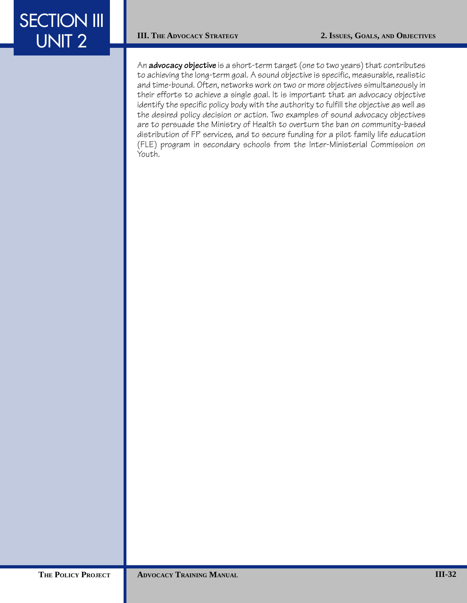An **advocacy objective** is a short-term target (one to two years) that contributes to achieving the long-term goal. A sound objective is specific, measurable, realistic and time-bound. Often, networks work on two or more objectives simultaneously in their efforts to achieve a single goal. It is important that an advocacy objective identify the specific policy body with the authority to fulfill the objective as well as the desired policy decision or action. Two examples of sound advocacy objectives are to persuade the Ministry of Health to overturn the ban on community-based distribution of FP services, and to secure funding for a pilot family life education (FLE) program in secondary schools from the Inter-Ministerial Commission on Youth.␣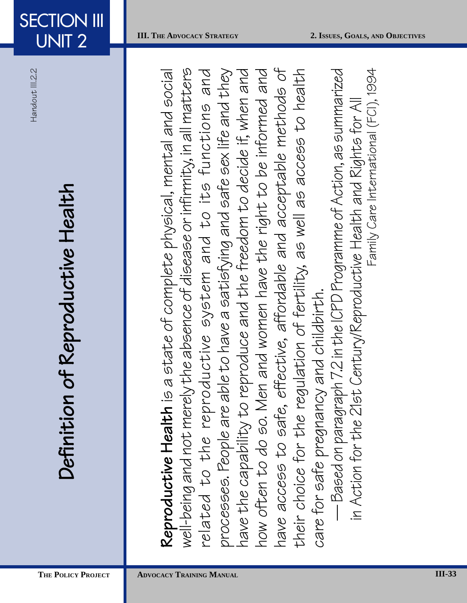UNIT 2

**SECTION III** 

# Definition of Reproductive Health **Definition of Reproductive Health␣**

**Reproductive Health** is a state of complete physical, mental and social<br>well-being and not merely the absence of disease or infinmity, in all matters<br>related to the reproductive system and to its functions and<br>processes.